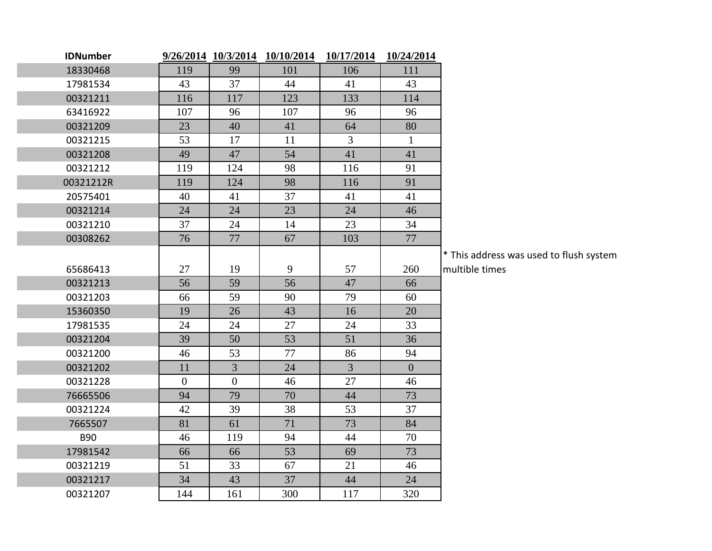| <b>IDNumber</b> |                  | 9/26/2014 10/3/2014 | 10/10/2014 | 10/17/2014     | 10/24/2014   |       |
|-----------------|------------------|---------------------|------------|----------------|--------------|-------|
| 18330468        | 119              | 99                  | 101        | 106            | 111          |       |
| 17981534        | 43               | 37                  | 44         | 41             | 43           |       |
| 00321211        | 116              | 117                 | 123        | 133            | 114          |       |
| 63416922        | 107              | 96                  | 107        | 96             | 96           |       |
| 00321209        | 23               | 40                  | 41         | 64             | 80           |       |
| 00321215        | 53               | 17                  | 11         | $\overline{3}$ | $\mathbf{1}$ |       |
| 00321208        | 49               | 47                  | 54         | 41             | 41           |       |
| 00321212        | 119              | 124                 | 98         | 116            | 91           |       |
| 00321212R       | 119              | 124                 | 98         | 116            | 91           |       |
| 20575401        | 40               | 41                  | 37         | 41             | 41           |       |
| 00321214        | 24               | 24                  | 23         | 24             | 46           |       |
| 00321210        | 37               | 24                  | 14         | 23             | 34           |       |
| 00308262        | 76               | 77                  | 67         | 103            | 77           |       |
|                 |                  |                     |            |                |              | * Thi |
| 65686413        | 27               | 19                  | 9          | 57             | 260          | mult  |
| 00321213        | 56               | 59                  | 56         | 47             | 66           |       |
| 00321203        | 66               | 59                  | 90         | 79             | 60           |       |
| 15360350        | 19               | 26                  | 43         | 16             | 20           |       |
| 17981535        | 24               | 24                  | 27         | 24             | 33           |       |
| 00321204        | 39               | 50                  | 53         | 51             | 36           |       |
| 00321200        | 46               | 53                  | 77         | 86             | 94           |       |
| 00321202        | 11               | $\overline{3}$      | 24         | $\overline{3}$ | $\Omega$     |       |
| 00321228        | $\boldsymbol{0}$ | $\overline{0}$      | 46         | 27             | 46           |       |
| 76665506        | 94               | 79                  | 70         | 44             | 73           |       |
| 00321224        | 42               | 39                  | 38         | 53             | 37           |       |
| 7665507         | 81               | 61                  | 71         | 73             | 84           |       |
| <b>B90</b>      | 46               | 119                 | 94         | 44             | 70           |       |
| 17981542        | 66               | 66                  | 53         | 69             | 73           |       |
| 00321219        | 51               | 33                  | 67         | 21             | 46           |       |
| 00321217        | 34               | 43                  | 37         | 44             | 24           |       |
| 00321207        | 144              | 161                 | 300        | 117            | 320          |       |

iis address was used to flush system tible times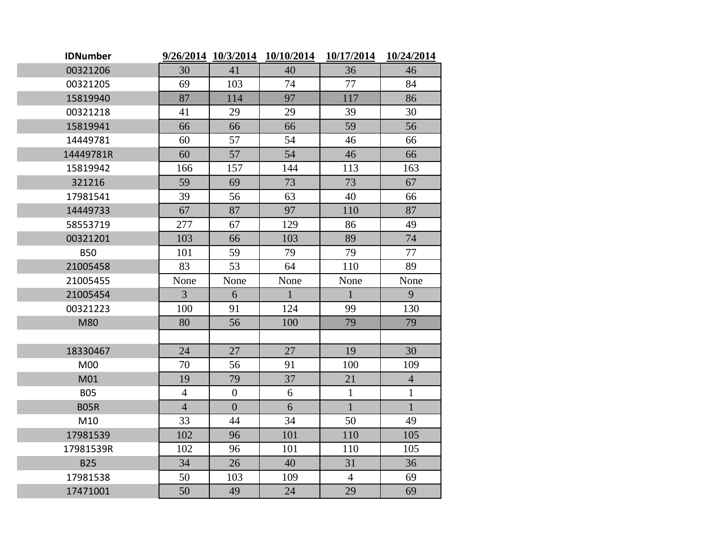| <b>IDNumber</b> |                |                  | 9/26/2014 10/3/2014 10/10/2014 | 10/17/2014     | 10/24/2014     |
|-----------------|----------------|------------------|--------------------------------|----------------|----------------|
| 00321206        | 30             | 41               | 40                             | 36             | 46             |
| 00321205        | 69             | 103              | 74                             | 77             | 84             |
| 15819940        | 87             | 114              | 97                             | 117            | 86             |
| 00321218        | 41             | 29               | 29                             | 39             | 30             |
| 15819941        | 66             | 66               | 66                             | 59             | 56             |
| 14449781        | 60             | 57               | 54                             | 46             | 66             |
| 14449781R       | 60             | 57               | 54                             | 46             | 66             |
| 15819942        | 166            | 157              | 144                            | 113            | 163            |
| 321216          | 59             | 69               | 73                             | 73             | 67             |
| 17981541        | 39             | 56               | 63                             | 40             | 66             |
| 14449733        | 67             | 87               | 97                             | 110            | 87             |
| 58553719        | 277            | 67               | 129                            | 86             | 49             |
| 00321201        | 103            | 66               | 103                            | 89             | 74             |
| <b>B50</b>      | 101            | 59               | 79                             | 79             | 77             |
| 21005458        | 83             | 53               | 64                             | 110            | 89             |
| 21005455        | None           | None             | None                           | None           | None           |
| 21005454        | 3              | 6                | $\mathbf{1}$                   | $\mathbf{1}$   | 9              |
| 00321223        | 100            | 91               | 124                            | 99             | 130            |
| M80             | 80             | 56               | 100                            | 79             | 79             |
|                 |                |                  |                                |                |                |
| 18330467        | 24             | 27               | 27                             | 19             | 30             |
| M00             | 70             | 56               | 91                             | 100            | 109            |
| M01             | 19             | 79               | 37                             | 21             | $\overline{4}$ |
| <b>B05</b>      | $\overline{4}$ | $\boldsymbol{0}$ | 6                              | $\mathbf{1}$   | $\mathbf{1}$   |
| <b>B05R</b>     | $\overline{4}$ | $\overline{0}$   | 6                              | $\mathbf{1}$   | $\mathbf{1}$   |
| M10             | 33             | 44               | 34                             | 50             | 49             |
| 17981539        | 102            | 96               | 101                            | 110            | 105            |
| 17981539R       | 102            | 96               | 101                            | 110            | 105            |
| <b>B25</b>      | 34             | 26               | 40                             | 31             | 36             |
| 17981538        | 50             | 103              | 109                            | $\overline{4}$ | 69             |
| 17471001        | 50             | 49               | 24                             | 29             | 69             |